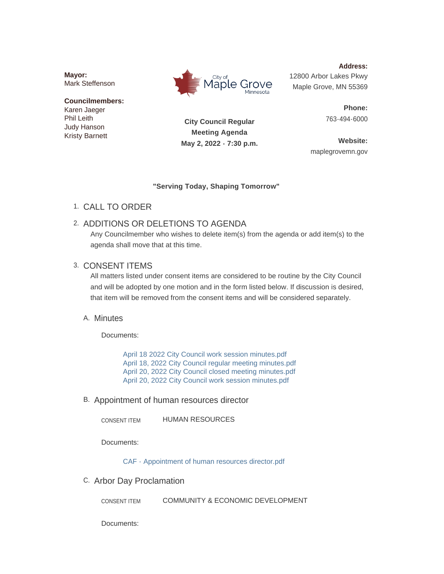**Mayor:** Mark Steffenson

## **Councilmembers:** Karen Jaeger Phil Leith

Judy Hanson Kristy Barnett



**Address:** 12800 Arbor Lakes Pkwy Maple Grove, MN 55369

> **Phone:** 763-494-6000

**City Council Regular Meeting Agenda May 2, 2022 - 7:30 p.m.**

**Website:** maplegrovemn.gov

### **"Serving Today, Shaping Tomorrow"**

CALL TO ORDER 1.

# 2. ADDITIONS OR DELETIONS TO AGENDA

Any Councilmember who wishes to delete item(s) from the agenda or add item(s) to the agenda shall move that at this time.

# 3. CONSENT ITEMS

All matters listed under consent items are considered to be routine by the City Council and will be adopted by one motion and in the form listed below. If discussion is desired, that item will be removed from the consent items and will be considered separately.

# A. Minutes

Documents:

[April 18 2022 City Council work session minutes.pdf](https://www.maplegrovemn.gov/AgendaCenter/ViewFile/Item/1787?fileID=6232) [April 18, 2022 City Council regular meeting minutes.pdf](https://www.maplegrovemn.gov/AgendaCenter/ViewFile/Item/1787?fileID=6235) [April 20, 2022 City Council closed meeting minutes.pdf](https://www.maplegrovemn.gov/AgendaCenter/ViewFile/Item/1787?fileID=6233) [April 20, 2022 City Council work session minutes.pdf](https://www.maplegrovemn.gov/AgendaCenter/ViewFile/Item/1787?fileID=6234)

## B. Appointment of human resources director

HUMAN RESOURCES CONSENT ITEM

Documents:

[CAF - Appointment of human resources director.pdf](https://www.maplegrovemn.gov/AgendaCenter/ViewFile/Item/1838?fileID=6639)

C. Arbor Day Proclamation

COMMUNITY & ECONOMIC DEVELOPMENT CONSENT ITEM

Documents: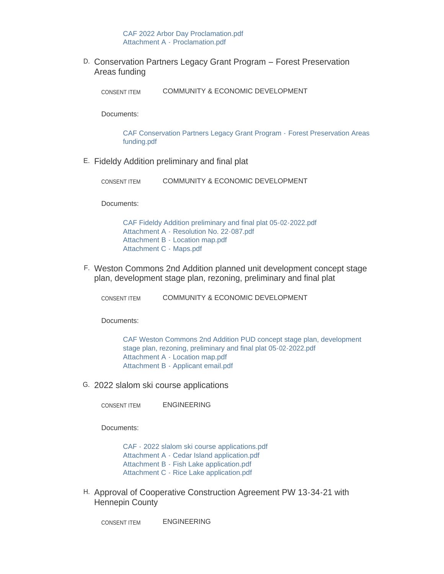D. Conservation Partners Legacy Grant Program – Forest Preservation Areas funding

COMMUNITY & ECONOMIC DEVELOPMENT CONSENT ITEM

Documents:

[CAF Conservation Partners Legacy Grant Program -](https://www.maplegrovemn.gov/AgendaCenter/ViewFile/Item/1801?fileID=6683) Forest Preservation Areas funding.pdf

Fideldy Addition preliminary and final plat E.

COMMUNITY & ECONOMIC DEVELOPMENT CONSENT ITEM

Documents:

[CAF Fideldy Addition preliminary and final plat 05-02-2022.pdf](https://www.maplegrovemn.gov/AgendaCenter/ViewFile/Item/1823?fileID=6584) Attachment A - [Resolution No. 22-087.pdf](https://www.maplegrovemn.gov/AgendaCenter/ViewFile/Item/1823?fileID=6585) Attachment B - [Location map.pdf](https://www.maplegrovemn.gov/AgendaCenter/ViewFile/Item/1823?fileID=6586) [Attachment C -](https://www.maplegrovemn.gov/AgendaCenter/ViewFile/Item/1823?fileID=6587) Maps.pdf

Weston Commons 2nd Addition planned unit development concept stage F. plan, development stage plan, rezoning, preliminary and final plat

COMMUNITY & ECONOMIC DEVELOPMENT CONSENT ITEM

Documents:

[CAF Weston Commons 2nd Addition PUD concept stage plan, development](https://www.maplegrovemn.gov/AgendaCenter/ViewFile/Item/1822?fileID=6583)  stage plan, rezoning, preliminary and final plat 05-02-2022.pdf [Attachment A - Location map.pdf](https://www.maplegrovemn.gov/AgendaCenter/ViewFile/Item/1822?fileID=6581) [Attachment B - Applicant email.pdf](https://www.maplegrovemn.gov/AgendaCenter/ViewFile/Item/1822?fileID=6582)

2022 slalom ski course applications G.

ENGINEERING CONSENT ITEM

Documents:

[CAF - 2022 slalom ski course applications.pdf](https://www.maplegrovemn.gov/AgendaCenter/ViewFile/Item/1827?fileID=6600) [Attachment A - Cedar Island application.pdf](https://www.maplegrovemn.gov/AgendaCenter/ViewFile/Item/1827?fileID=6603) [Attachment B - Fish Lake application.pdf](https://www.maplegrovemn.gov/AgendaCenter/ViewFile/Item/1827?fileID=6601) [Attachment C - Rice Lake application.pdf](https://www.maplegrovemn.gov/AgendaCenter/ViewFile/Item/1827?fileID=6602)

H. Approval of Cooperative Construction Agreement PW 13-34-21 with Hennepin County

ENGINEERING CONSENT ITEM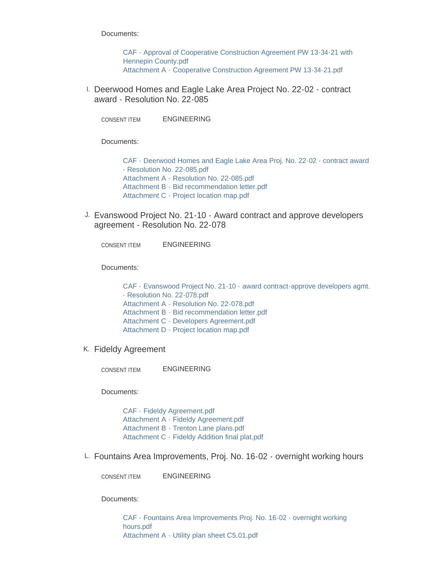Documents:

[CAF - Approval of Cooperative Construction Agreement PW 13-34-21 with](https://www.maplegrovemn.gov/AgendaCenter/ViewFile/Item/1828?fileID=6604)  Hennepin County.pdf [Attachment A - Cooperative Construction Agreement PW 13-34-21.pdf](https://www.maplegrovemn.gov/AgendaCenter/ViewFile/Item/1828?fileID=6605)

<sup>1.</sup> Deerwood Homes and Eagle Lake Area Project No. 22-02 - contract award - Resolution No. 22-085

ENGINEERING CONSENT ITEM

Documents:

[CAF - Deerwood Homes and Eagle Lake Area Proj. No. 22-02 - contract award](https://www.maplegrovemn.gov/AgendaCenter/ViewFile/Item/1825?fileID=6592)  - Resolution No. 22-085.pdf [Attachment A - Resolution No. 22-085.pdf](https://www.maplegrovemn.gov/AgendaCenter/ViewFile/Item/1825?fileID=6594) [Attachment B - Bid recommendation letter.pdf](https://www.maplegrovemn.gov/AgendaCenter/ViewFile/Item/1825?fileID=6595) [Attachment C - Project location map.pdf](https://www.maplegrovemn.gov/AgendaCenter/ViewFile/Item/1825?fileID=6593)

J. Evanswood Project No. 21-10 - Award contract and approve developers agreement - Resolution No. 22-078

ENGINEERING CONSENT ITEM

Documents:

[CAF - Evanswood Project No. 21-10 - award contract-approve developers agmt.](https://www.maplegrovemn.gov/AgendaCenter/ViewFile/Item/1834?fileID=6623)  - Resolution No. 22-078.pdf [Attachment A - Resolution No. 22-078.pdf](https://www.maplegrovemn.gov/AgendaCenter/ViewFile/Item/1834?fileID=6621) [Attachment B - Bid recommendation letter.pdf](https://www.maplegrovemn.gov/AgendaCenter/ViewFile/Item/1834?fileID=6620) [Attachment C - Developers Agreement.pdf](https://www.maplegrovemn.gov/AgendaCenter/ViewFile/Item/1834?fileID=6624) [Attachment D - Project location map.pdf](https://www.maplegrovemn.gov/AgendaCenter/ViewFile/Item/1834?fileID=6622)

K. Fideldy Agreement

ENGINEERING CONSENT ITEM

Documents:

[CAF - Fideldy Agreement.pdf](https://www.maplegrovemn.gov/AgendaCenter/ViewFile/Item/1829?fileID=6606) [Attachment A - Fideldy Agreement.pdf](https://www.maplegrovemn.gov/AgendaCenter/ViewFile/Item/1829?fileID=6609) [Attachment B - Trenton Lane plans.pdf](https://www.maplegrovemn.gov/AgendaCenter/ViewFile/Item/1829?fileID=6607) [Attachment C - Fideldy Addition final plat.pdf](https://www.maplegrovemn.gov/AgendaCenter/ViewFile/Item/1829?fileID=6608)

L. Fountains Area Improvements, Proj. No. 16-02 - overnight working hours

ENGINEERING CONSENT ITEM

Documents:

[CAF - Fountains Area Improvements Proj. No. 16-02 - overnight working](https://www.maplegrovemn.gov/AgendaCenter/ViewFile/Item/1831?fileID=6613)  hours.pdf [Attachment A - Utility plan sheet C5.01.pdf](https://www.maplegrovemn.gov/AgendaCenter/ViewFile/Item/1831?fileID=6614)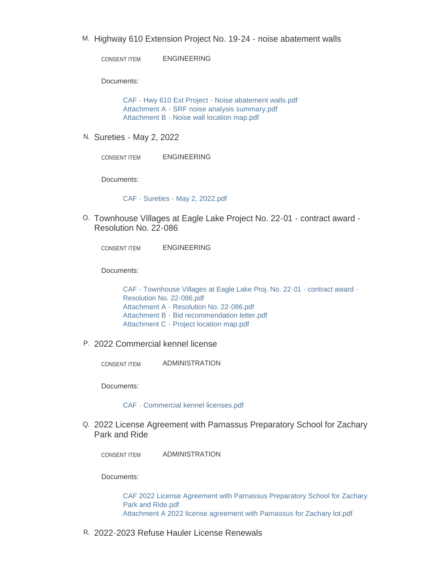M. Highway 610 Extension Project No. 19-24 - noise abatement walls

ENGINEERING CONSENT ITEM

Documents:

[CAF - Hwy 610 Ext Project - Noise abatement walls.pdf](https://www.maplegrovemn.gov/AgendaCenter/ViewFile/Item/1830?fileID=6610) [Attachment A - SRF noise analysis summary.pdf](https://www.maplegrovemn.gov/AgendaCenter/ViewFile/Item/1830?fileID=6611) [Attachment B - Noise wall location map.pdf](https://www.maplegrovemn.gov/AgendaCenter/ViewFile/Item/1830?fileID=6612)

N. Sureties - May 2, 2022

ENGINEERING CONSENT ITEM

Documents:

[CAF - Sureties - May 2, 2022.pdf](https://www.maplegrovemn.gov/AgendaCenter/ViewFile/Item/1832?fileID=6615)

0. Townhouse Villages at Eagle Lake Project No. 22-01 - contract award -Resolution No. 22-086

ENGINEERING CONSENT ITEM

Documents:

[CAF - Townhouse Villages at Eagle Lake Proj. No. 22-01 - contract award -](https://www.maplegrovemn.gov/AgendaCenter/ViewFile/Item/1824?fileID=6588) Resolution No. 22-086.pdf [Attachment A - Resolution No. 22-086.pdf](https://www.maplegrovemn.gov/AgendaCenter/ViewFile/Item/1824?fileID=6591) [Attachment B - Bid recommendation letter.pdf](https://www.maplegrovemn.gov/AgendaCenter/ViewFile/Item/1824?fileID=6589) [Attachment C - Project location map.pdf](https://www.maplegrovemn.gov/AgendaCenter/ViewFile/Item/1824?fileID=6590)

2022 Commercial kennel license P.

ADMINISTRATION CONSENT ITEM

Documents:

#### [CAF - Commercial kennel licenses.pdf](https://www.maplegrovemn.gov/AgendaCenter/ViewFile/Item/1797?fileID=6558)

Q. 2022 License Agreement with Parnassus Preparatory School for Zachary Park and Ride

ADMINISTRATION CONSENT ITEM

Documents:

[CAF 2022 License Agreement with Parnassus Preparatory School for Zachary](https://www.maplegrovemn.gov/AgendaCenter/ViewFile/Item/1795?fileID=6554)  Park and Ride.pdf [Attachment A 2022 license agreement with Parnassus for Zachary lot.pdf](https://www.maplegrovemn.gov/AgendaCenter/ViewFile/Item/1795?fileID=6555)

2022-2023 Refuse Hauler License Renewals R.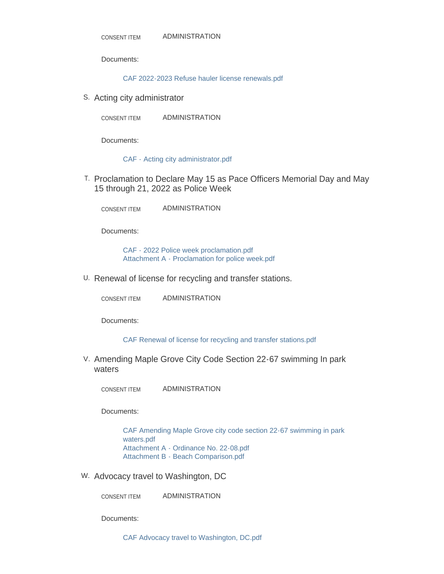Documents:

[CAF 2022-2023 Refuse hauler license renewals.pdf](https://www.maplegrovemn.gov/AgendaCenter/ViewFile/Item/1792?fileID=6571)

S. Acting city administrator

ADMINISTRATION CONSENT ITEM

Documents:

[CAF - Acting city administrator.pdf](https://www.maplegrovemn.gov/AgendaCenter/ViewFile/Item/1757?fileID=6574)

T. Proclamation to Declare May 15 as Pace Officers Memorial Day and May 15 through 21, 2022 as Police Week

ADMINISTRATION CONSENT ITEM

Documents:

[CAF - 2022 Police week proclamation.pdf](https://www.maplegrovemn.gov/AgendaCenter/ViewFile/Item/1796?fileID=6557) [Attachment A - Proclamation for police week.pdf](https://www.maplegrovemn.gov/AgendaCenter/ViewFile/Item/1796?fileID=6570)

U. Renewal of license for recycling and transfer stations.

ADMINISTRATION CONSENT ITEM

Documents:

#### [CAF Renewal of license for recycling and transfer stations.pdf](https://www.maplegrovemn.gov/AgendaCenter/ViewFile/Item/1793?fileID=6575)

V. Amending Maple Grove City Code Section 22-67 swimming In park waters

ADMINISTRATION CONSENT ITEM

Documents:

[CAF Amending Maple Grove city code section 22-67 swimming in park](https://www.maplegrovemn.gov/AgendaCenter/ViewFile/Item/1836?fileID=6629)  waters.pdf [Attachment A - Ordinance No. 22-08.pdf](https://www.maplegrovemn.gov/AgendaCenter/ViewFile/Item/1836?fileID=6626) [Attachment B - Beach Comparison.pdf](https://www.maplegrovemn.gov/AgendaCenter/ViewFile/Item/1836?fileID=6627)

W. Advocacy travel to Washington, DC

ADMINISTRATION CONSENT ITEM

Documents:

[CAF Advocacy travel to Washington, DC.pdf](https://www.maplegrovemn.gov/AgendaCenter/ViewFile/Item/1839?fileID=6641)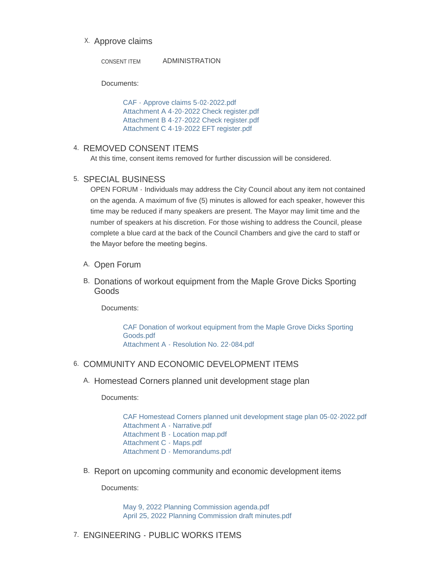## X. Approve claims

ADMINISTRATION CONSENT ITEM

Documents:

[CAF - Approve claims 5-02-2022.pdf](https://www.maplegrovemn.gov/AgendaCenter/ViewFile/Item/1833?fileID=6619) [Attachment A 4-20-2022 Check register.pdf](https://www.maplegrovemn.gov/AgendaCenter/ViewFile/Item/1833?fileID=6616) [Attachment B 4-27-2022 Check register.pdf](https://www.maplegrovemn.gov/AgendaCenter/ViewFile/Item/1833?fileID=6617) [Attachment C 4-19-2022 EFT register.pdf](https://www.maplegrovemn.gov/AgendaCenter/ViewFile/Item/1833?fileID=6618)

### 4. REMOVED CONSENT ITEMS

At this time, consent items removed for further discussion will be considered.

## 5. SPECIAL BUSINESS

OPEN FORUM - Individuals may address the City Council about any item not contained on the agenda. A maximum of five (5) minutes is allowed for each speaker, however this time may be reduced if many speakers are present. The Mayor may limit time and the number of speakers at his discretion. For those wishing to address the Council, please complete a blue card at the back of the Council Chambers and give the card to staff or the Mayor before the meeting begins.

- A. Open Forum
- B. Donations of workout equipment from the Maple Grove Dicks Sporting Goods

Documents:

[CAF Donation of workout equipment from the Maple Grove Dicks Sporting](https://www.maplegrovemn.gov/AgendaCenter/ViewFile/Item/1840?fileID=6644)  Goods.pdf [Attachment A - Resolution No. 22-084.pdf](https://www.maplegrovemn.gov/AgendaCenter/ViewFile/Item/1840?fileID=6643)

## 6. COMMUNITY AND ECONOMIC DEVELOPMENT ITEMS

A. Homestead Corners planned unit development stage plan

Documents:

[CAF Homestead Corners planned unit development stage plan 05-02-2022.pdf](https://www.maplegrovemn.gov/AgendaCenter/ViewFile/Item/1794?fileID=6645) [Attachment A - Narrative.pdf](https://www.maplegrovemn.gov/AgendaCenter/ViewFile/Item/1794?fileID=6646) [Attachment B - Location map.pdf](https://www.maplegrovemn.gov/AgendaCenter/ViewFile/Item/1794?fileID=6647) [Attachment C - Maps.pdf](https://www.maplegrovemn.gov/AgendaCenter/ViewFile/Item/1794?fileID=6650) [Attachment D - Memorandums.pdf](https://www.maplegrovemn.gov/AgendaCenter/ViewFile/Item/1794?fileID=6649)

B. Report on upcoming community and economic development items

Documents:

[May 9, 2022 Planning Commission agenda.pdf](https://www.maplegrovemn.gov/AgendaCenter/ViewFile/Item/1802?fileID=6567) [April 25, 2022 Planning Commission draft minutes.pdf](https://www.maplegrovemn.gov/AgendaCenter/ViewFile/Item/1802?fileID=6566)

## 7. ENGINEERING - PUBLIC WORKS ITEMS